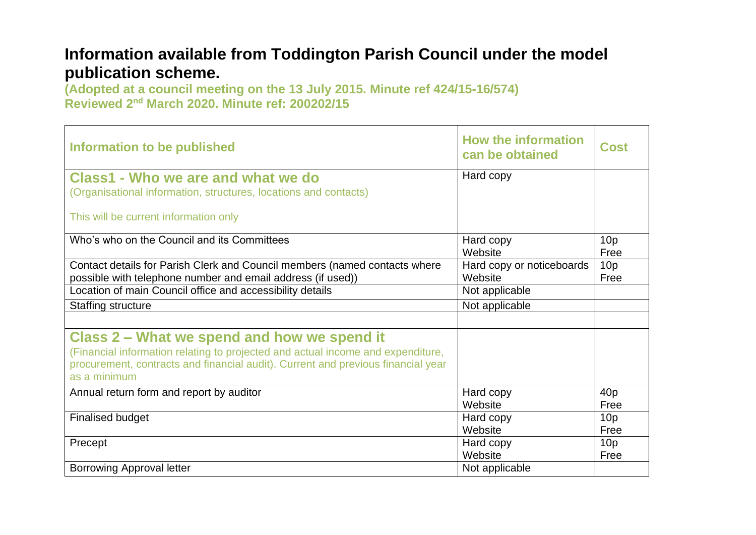## **Information available from Toddington Parish Council under the model publication scheme.**

**(Adopted at a council meeting on the 13 July 2015. Minute ref 424/15-16/574) Reviewed 2nd March 2020. Minute ref: 200202/15**

| Information to be published                                                                                                                                                                                                        | <b>How the information</b><br>can be obtained | Cost            |
|------------------------------------------------------------------------------------------------------------------------------------------------------------------------------------------------------------------------------------|-----------------------------------------------|-----------------|
| <b>Class1 - Who we are and what we do</b>                                                                                                                                                                                          | Hard copy                                     |                 |
| (Organisational information, structures, locations and contacts)                                                                                                                                                                   |                                               |                 |
| This will be current information only                                                                                                                                                                                              |                                               |                 |
| Who's who on the Council and its Committees                                                                                                                                                                                        | Hard copy                                     | 10 <sub>p</sub> |
|                                                                                                                                                                                                                                    | Website                                       | Free            |
| Contact details for Parish Clerk and Council members (named contacts where                                                                                                                                                         | Hard copy or noticeboards                     | 10 <sub>p</sub> |
| possible with telephone number and email address (if used))                                                                                                                                                                        | Website                                       | Free            |
| Location of main Council office and accessibility details                                                                                                                                                                          | Not applicable                                |                 |
| <b>Staffing structure</b>                                                                                                                                                                                                          | Not applicable                                |                 |
|                                                                                                                                                                                                                                    |                                               |                 |
| Class 2 – What we spend and how we spend it<br>(Financial information relating to projected and actual income and expenditure,<br>procurement, contracts and financial audit). Current and previous financial year<br>as a minimum |                                               |                 |
| Annual return form and report by auditor                                                                                                                                                                                           | Hard copy                                     | 40 <sub>p</sub> |
|                                                                                                                                                                                                                                    | Website                                       | Free            |
| <b>Finalised budget</b>                                                                                                                                                                                                            | Hard copy                                     | 10 <sub>p</sub> |
|                                                                                                                                                                                                                                    | Website                                       | Free            |
| Precept                                                                                                                                                                                                                            | Hard copy                                     | 10 <sub>p</sub> |
|                                                                                                                                                                                                                                    | Website                                       | Free            |
| <b>Borrowing Approval letter</b>                                                                                                                                                                                                   | Not applicable                                |                 |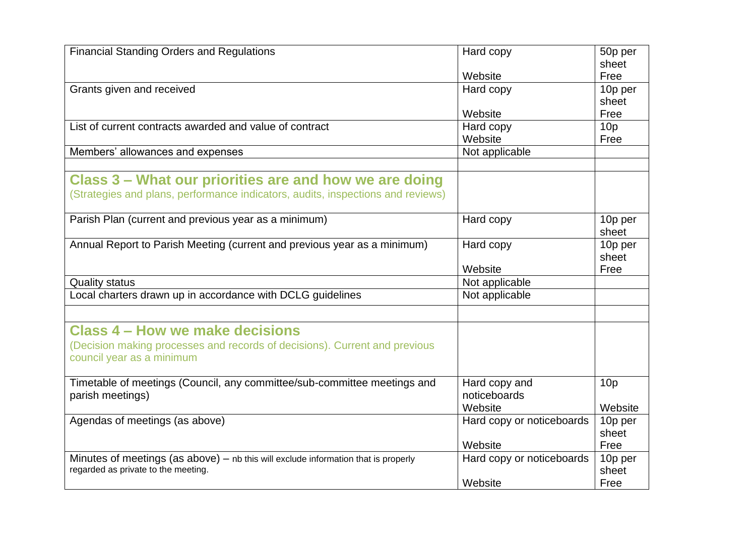| <b>Financial Standing Orders and Regulations</b>                                                                            | Hard copy                 | 50p per         |
|-----------------------------------------------------------------------------------------------------------------------------|---------------------------|-----------------|
|                                                                                                                             | Website                   | sheet<br>Free   |
| Grants given and received                                                                                                   | Hard copy                 | 10p per         |
|                                                                                                                             |                           | sheet           |
|                                                                                                                             | Website                   | Free            |
| List of current contracts awarded and value of contract                                                                     | Hard copy                 | 10 <sub>p</sub> |
|                                                                                                                             | Website                   | Free            |
| Members' allowances and expenses                                                                                            | Not applicable            |                 |
|                                                                                                                             |                           |                 |
| Class 3 – What our priorities are and how we are doing                                                                      |                           |                 |
| (Strategies and plans, performance indicators, audits, inspections and reviews)                                             |                           |                 |
|                                                                                                                             |                           |                 |
| Parish Plan (current and previous year as a minimum)                                                                        | Hard copy                 | 10p per         |
|                                                                                                                             |                           | sheet           |
| Annual Report to Parish Meeting (current and previous year as a minimum)                                                    | Hard copy                 | 10p per         |
|                                                                                                                             |                           | sheet           |
|                                                                                                                             | Website                   | Free            |
| <b>Quality status</b>                                                                                                       | Not applicable            |                 |
| Local charters drawn up in accordance with DCLG guidelines                                                                  | Not applicable            |                 |
|                                                                                                                             |                           |                 |
| <b>Class 4 - How we make decisions</b>                                                                                      |                           |                 |
| (Decision making processes and records of decisions). Current and previous                                                  |                           |                 |
| council year as a minimum                                                                                                   |                           |                 |
|                                                                                                                             |                           |                 |
| Timetable of meetings (Council, any committee/sub-committee meetings and                                                    | Hard copy and             | 10 <sub>p</sub> |
| parish meetings)                                                                                                            | noticeboards              |                 |
|                                                                                                                             | Website                   | Website         |
| Agendas of meetings (as above)                                                                                              | Hard copy or noticeboards | 10p per         |
|                                                                                                                             |                           | sheet           |
|                                                                                                                             | Website                   | Free            |
| Minutes of meetings (as above) $-$ nb this will exclude information that is properly<br>regarded as private to the meeting. | Hard copy or noticeboards | 10p per         |
|                                                                                                                             | Website                   | sheet<br>Free   |
|                                                                                                                             |                           |                 |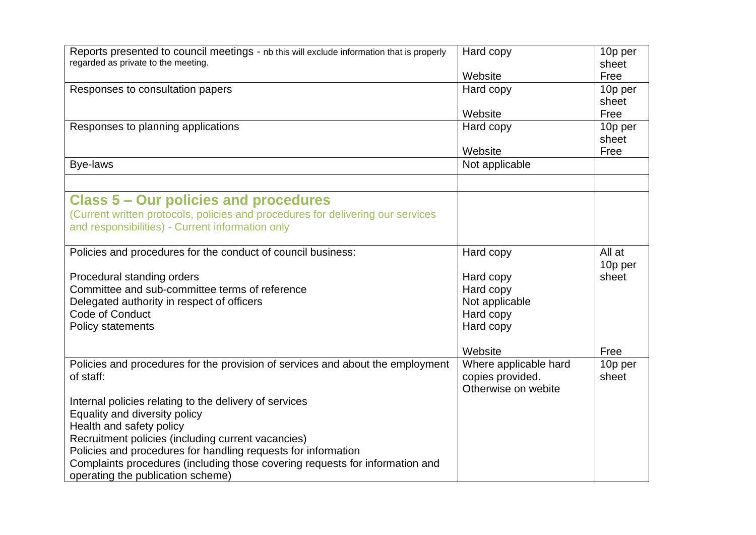| Reports presented to council meetings - nb this will exclude information that is properly | Hard copy             | 10p per |
|-------------------------------------------------------------------------------------------|-----------------------|---------|
| regarded as private to the meeting.                                                       |                       | sheet   |
|                                                                                           | Website               | Free    |
| Responses to consultation papers                                                          | Hard copy             | 10p per |
|                                                                                           |                       | sheet   |
|                                                                                           | Website               | Free    |
| Responses to planning applications                                                        | Hard copy             | 10p per |
|                                                                                           |                       | sheet   |
|                                                                                           | Website               | Free    |
| <b>Bye-laws</b>                                                                           | Not applicable        |         |
|                                                                                           |                       |         |
| <b>Class 5 – Our policies and procedures</b>                                              |                       |         |
| (Current written protocols, policies and procedures for delivering our services           |                       |         |
| and responsibilities) - Current information only                                          |                       |         |
|                                                                                           |                       |         |
| Policies and procedures for the conduct of council business:                              | Hard copy             | All at  |
|                                                                                           |                       | 10p per |
| Procedural standing orders                                                                | Hard copy             | sheet   |
| Committee and sub-committee terms of reference                                            | Hard copy             |         |
| Delegated authority in respect of officers                                                | Not applicable        |         |
| Code of Conduct                                                                           | Hard copy             |         |
| <b>Policy statements</b>                                                                  | Hard copy             |         |
|                                                                                           |                       |         |
|                                                                                           | Website               | Free    |
| Policies and procedures for the provision of services and about the employment            | Where applicable hard | 10p per |
| of staff:                                                                                 | copies provided.      | sheet   |
|                                                                                           | Otherwise on webite   |         |
| Internal policies relating to the delivery of services                                    |                       |         |
| Equality and diversity policy                                                             |                       |         |
| Health and safety policy                                                                  |                       |         |
| Recruitment policies (including current vacancies)                                        |                       |         |
| Policies and procedures for handling requests for information                             |                       |         |
|                                                                                           |                       |         |
| Complaints procedures (including those covering requests for information and              |                       |         |
| operating the publication scheme)                                                         |                       |         |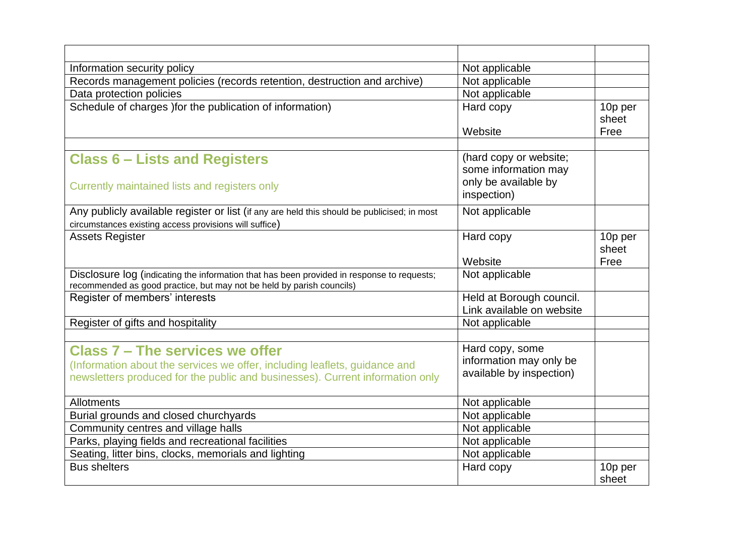| Information security policy                                                                                                                                                                           | Not applicable                                                         |                  |
|-------------------------------------------------------------------------------------------------------------------------------------------------------------------------------------------------------|------------------------------------------------------------------------|------------------|
| Records management policies (records retention, destruction and archive)                                                                                                                              | Not applicable                                                         |                  |
| Data protection policies                                                                                                                                                                              | Not applicable                                                         |                  |
| Schedule of charges ) for the publication of information)                                                                                                                                             | Hard copy                                                              | 10p per<br>sheet |
|                                                                                                                                                                                                       | Website                                                                | Free             |
|                                                                                                                                                                                                       |                                                                        |                  |
| <b>Class 6 – Lists and Registers</b>                                                                                                                                                                  | (hard copy or website;<br>some information may                         |                  |
| Currently maintained lists and registers only                                                                                                                                                         | only be available by<br>inspection)                                    |                  |
| Any publicly available register or list (if any are held this should be publicised; in most<br>circumstances existing access provisions will suffice)                                                 | Not applicable                                                         |                  |
| <b>Assets Register</b>                                                                                                                                                                                | Hard copy                                                              | 10p per<br>sheet |
|                                                                                                                                                                                                       | Website                                                                | Free             |
| Disclosure log (indicating the information that has been provided in response to requests;<br>recommended as good practice, but may not be held by parish councils)                                   | Not applicable                                                         |                  |
| Register of members' interests                                                                                                                                                                        | Held at Borough council.                                               |                  |
|                                                                                                                                                                                                       | Link available on website                                              |                  |
| Register of gifts and hospitality                                                                                                                                                                     | Not applicable                                                         |                  |
| <b>Class 7 - The services we offer</b><br>(Information about the services we offer, including leaflets, guidance and<br>newsletters produced for the public and businesses). Current information only | Hard copy, some<br>information may only be<br>available by inspection) |                  |
| Allotments                                                                                                                                                                                            | Not applicable                                                         |                  |
| Burial grounds and closed churchyards                                                                                                                                                                 | Not applicable                                                         |                  |
| Community centres and village halls                                                                                                                                                                   | Not applicable                                                         |                  |
| Parks, playing fields and recreational facilities                                                                                                                                                     | Not applicable                                                         |                  |
| Seating, litter bins, clocks, memorials and lighting                                                                                                                                                  | Not applicable                                                         |                  |
| <b>Bus shelters</b>                                                                                                                                                                                   | Hard copy                                                              | 10p per<br>sheet |